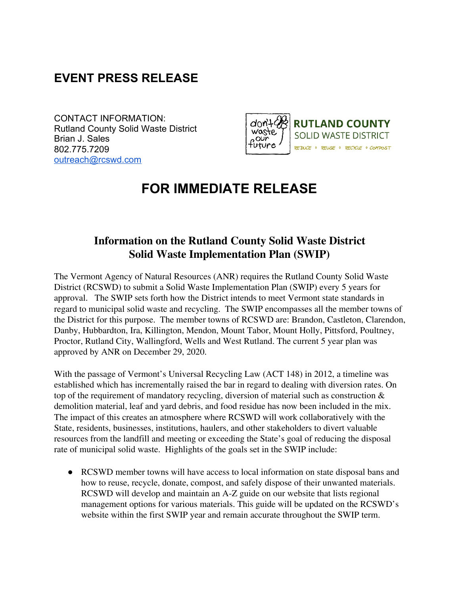## **EVENT PRESS RELEASE**

CONTACT INFORMATION: Rutland County Solid Waste District Brian J. Sales 802.775.7209 [outreach@rcswd.com](mailto:outreach@rcswd.com)



## **FOR IMMEDIATE RELEASE**

## **Information on the Rutland County Solid Waste District Solid Waste Implementation Plan (SWIP)**

The Vermont Agency of Natural Resources (ANR) requires the Rutland County Solid Waste District (RCSWD) to submit a Solid Waste Implementation Plan (SWIP) every 5 years for approval. The SWIP sets forth how the District intends to meet Vermont state standards in regard to municipal solid waste and recycling. The SWIP encompasses all the member towns of the District for this purpose. The member towns of RCSWD are: Brandon, Castleton, Clarendon, Danby, Hubbardton, Ira, Killington, Mendon, Mount Tabor, Mount Holly, Pittsford, Poultney, Proctor, Rutland City, Wallingford, Wells and West Rutland. The current 5 year plan was approved by ANR on December 29, 2020.

With the passage of Vermont's Universal Recycling Law (ACT 148) in 2012, a timeline was established which has incrementally raised the bar in regard to dealing with diversion rates. On top of the requirement of mandatory recycling, diversion of material such as construction & demolition material, leaf and yard debris, and food residue has now been included in the mix. The impact of this creates an atmosphere where RCSWD will work collaboratively with the State, residents, businesses, institutions, haulers, and other stakeholders to divert valuable resources from the landfill and meeting or exceeding the State's goal of reducing the disposal rate of municipal solid waste. Highlights of the goals set in the SWIP include:

• RCSWD member towns will have access to local information on state disposal bans and how to reuse, recycle, donate, compost, and safely dispose of their unwanted materials. RCSWD will develop and maintain an A-Z guide on our website that lists regional management options for various materials. This guide will be updated on the RCSWD's website within the first SWIP year and remain accurate throughout the SWIP term.